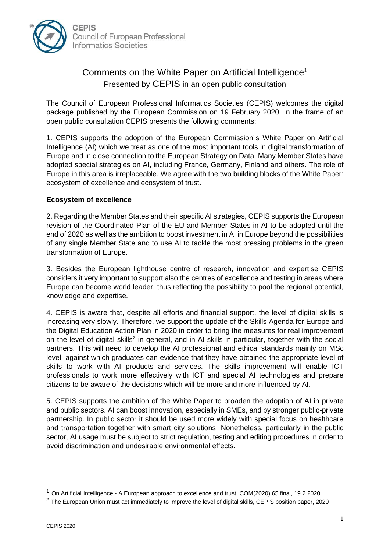

## Comments on the White Paper on Artificial Intelligence<sup>1</sup> Presented by CEPIS in an open public consultation

The Council of European Professional Informatics Societies (CEPIS) welcomes the digital package published by the European Commission on 19 February 2020. In the frame of an open public consultation CEPIS presents the following comments:

1. CEPIS supports the adoption of the European Commission´s White Paper on Artificial Intelligence (AI) which we treat as one of the most important tools in digital transformation of Europe and in close connection to the European Strategy on Data. Many Member States have adopted special strategies on AI, including France, Germany, Finland and others. The role of Europe in this area is irreplaceable. We agree with the two building blocks of the White Paper: ecosystem of excellence and ecosystem of trust.

## **Ecosystem of excellence**

2. Regarding the Member States and their specific AI strategies, CEPIS supports the European revision of the Coordinated Plan of the EU and Member States in AI to be adopted until the end of 2020 as well as the ambition to boost investment in AI in Europe beyond the possibilities of any single Member State and to use AI to tackle the most pressing problems in the green transformation of Europe.

3. Besides the European lighthouse centre of research, innovation and expertise CEPIS considers it very important to support also the centres of excellence and testing in areas where Europe can become world leader, thus reflecting the possibility to pool the regional potential, knowledge and expertise.

4. CEPIS is aware that, despite all efforts and financial support, the level of digital skills is increasing very slowly. Therefore, we support the update of the Skills Agenda for Europe and the Digital Education Action Plan in 2020 in order to bring the measures for real improvement on the level of digital skills<sup>2</sup> in general, and in AI skills in particular, together with the social partners. This will need to develop the AI professional and ethical standards mainly on MSc level, against which graduates can evidence that they have obtained the appropriate level of skills to work with AI products and services. The skills improvement will enable ICT professionals to work more effectively with ICT and special AI technologies and prepare citizens to be aware of the decisions which will be more and more influenced by AI.

5. CEPIS supports the ambition of the White Paper to broaden the adoption of AI in private and public sectors. AI can boost innovation, especially in SMEs, and by stronger public-private partnership. In public sector it should be used more widely with special focus on healthcare and transportation together with smart city solutions. Nonetheless, particularly in the public sector, AI usage must be subject to strict regulation, testing and editing procedures in order to avoid discrimination and undesirable environmental effects.

<sup>1</sup> On Artificial Intelligence - A European approach to excellence and trust, COM(2020) 65 final, 19.2.2020

<sup>&</sup>lt;sup>2</sup> The European Union must act immediately to improve the level of digital skills, CEPIS position paper, 2020